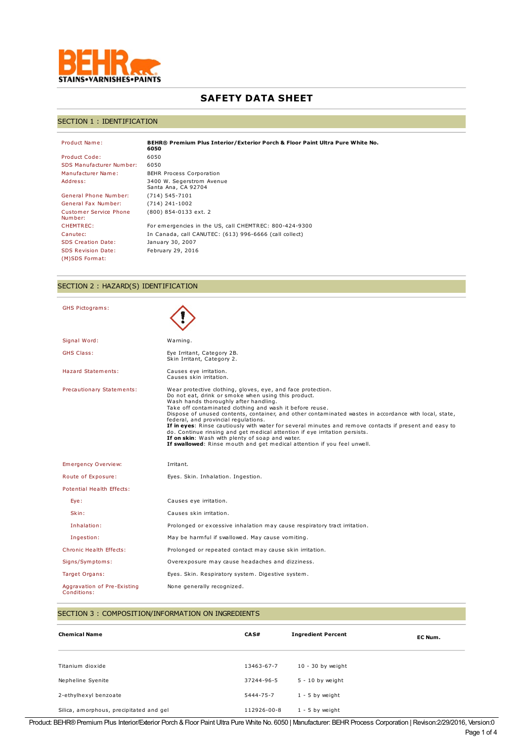

# **SAFETY DATA SHEET**

## SECTION 1 : IDENTIFICATION

| Product Name:                            | BEHR® Premium Plus Interior/Exterior Porch & Floor Paint Ultra Pure White No.<br>6050 |
|------------------------------------------|---------------------------------------------------------------------------------------|
| <b>Product Code:</b>                     | 6050                                                                                  |
| SDS Manufacturer Number:                 | 6050                                                                                  |
| Manufacturer Name:                       | <b>BEHR Process Corporation</b>                                                       |
| Address:                                 | 3400 W. Segerstrom Avenue<br>Santa Ana, CA 92704                                      |
| General Phone Number:                    | (714) 545-7101                                                                        |
| General Fax Number:                      | (714) 241-1002                                                                        |
| <b>Customer Service Phone</b><br>Number: | (800) 854-0133 ext. 2                                                                 |
| <b>CHEMTREC:</b>                         | For emergencies in the US, call CHEMTREC: 800-424-9300                                |
| Canutec:                                 | In Canada, call CANUTEC: (613) 996-6666 (call collect)                                |
| <b>SDS Creation Date:</b>                | January 30, 2007                                                                      |
| <b>SDS Revision Date:</b>                | February 29, 2016                                                                     |
| (M)SDS Format:                           |                                                                                       |

# SECTION 2 : HAZARD(S) IDENTIFICATION

| GHS Pictograms:                            |                                                                                                                                                                                                                                                                                                                                                                                                                                                                                                                                                                                                                                                                                                |
|--------------------------------------------|------------------------------------------------------------------------------------------------------------------------------------------------------------------------------------------------------------------------------------------------------------------------------------------------------------------------------------------------------------------------------------------------------------------------------------------------------------------------------------------------------------------------------------------------------------------------------------------------------------------------------------------------------------------------------------------------|
| Signal Word:                               | Warning.                                                                                                                                                                                                                                                                                                                                                                                                                                                                                                                                                                                                                                                                                       |
| <b>GHS Class:</b>                          | Eye Irritant, Category 2B.<br>Skin Irritant, Category 2.                                                                                                                                                                                                                                                                                                                                                                                                                                                                                                                                                                                                                                       |
| Hazard Statements:                         | Causes eye irritation.<br>Causes skin irritation.                                                                                                                                                                                                                                                                                                                                                                                                                                                                                                                                                                                                                                              |
| Precautionary Statements:                  | Wear protective clothing, gloves, eye, and face protection.<br>Do not eat, drink or smoke when using this product.<br>Wash hands thoroughly after handling.<br>Take off contaminated clothing and wash it before reuse.<br>Dispose of unused contents, container, and other contaminated wastes in accordance with local, state,<br>federal, and provincial requlations.<br>If in eyes: Rinse cautiously with water for several minutes and remove contacts if present and easy to<br>do. Continue rinsing and get medical attention if eye irritation persists.<br>If on skin: Wash with plenty of soap and water.<br>If swallowed: Rinse mouth and get medical attention if you feel unwell. |
| <b>Emergency Overview:</b>                 | Irritant.                                                                                                                                                                                                                                                                                                                                                                                                                                                                                                                                                                                                                                                                                      |
| Route of Exposure:                         | Eyes. Skin. Inhalation. Ingestion.                                                                                                                                                                                                                                                                                                                                                                                                                                                                                                                                                                                                                                                             |
| Potential Health Effects:                  |                                                                                                                                                                                                                                                                                                                                                                                                                                                                                                                                                                                                                                                                                                |
| Eye:                                       | Causes eye irritation.                                                                                                                                                                                                                                                                                                                                                                                                                                                                                                                                                                                                                                                                         |
| Skin:                                      | Causes skin irritation.                                                                                                                                                                                                                                                                                                                                                                                                                                                                                                                                                                                                                                                                        |
| Inhalation:                                | Prolonged or excessive inhalation may cause respiratory tract irritation.                                                                                                                                                                                                                                                                                                                                                                                                                                                                                                                                                                                                                      |
| Ingestion:                                 | May be harmful if swallowed. May cause vomiting.                                                                                                                                                                                                                                                                                                                                                                                                                                                                                                                                                                                                                                               |
| Chronic Health Effects:                    | Prolonged or repeated contact may cause skin irritation.                                                                                                                                                                                                                                                                                                                                                                                                                                                                                                                                                                                                                                       |
| Signs/Symptoms:                            | Overexposure may cause headaches and dizziness.                                                                                                                                                                                                                                                                                                                                                                                                                                                                                                                                                                                                                                                |
| Target Organs:                             | Eyes. Skin. Respiratory system. Digestive system.                                                                                                                                                                                                                                                                                                                                                                                                                                                                                                                                                                                                                                              |
| Aggravation of Pre-Existing<br>Conditions: | None generally recognized.                                                                                                                                                                                                                                                                                                                                                                                                                                                                                                                                                                                                                                                                     |

# SECTION 3 : COMPOSITION/INFORMATION ON INGREDIENTS

| <b>Chemical Name</b>                    | CA S#       | <b>Ingredient Percent</b> | EC Num. |
|-----------------------------------------|-------------|---------------------------|---------|
|                                         |             |                           |         |
| Titanium dioxide                        | 13463-67-7  | $10 - 30$ by weight       |         |
| Nepheline Syenite                       | 37244-96-5  | $5 - 10$ by weight        |         |
| 2-ethylhexyl benzoate                   | 5444-75-7   | $1 - 5$ by weight         |         |
| Silica, amorphous, precipitated and gel | 112926-00-8 | $1 - 5$ by weight         |         |

Product: BEHR®Premium Plus Interior/Exterior Porch & Floor Paint Ultra Pure White No. 6050 | Manufacturer: BEHRProcess Corporation | Revison:2/29/2016, Version:0 Page 1 of 4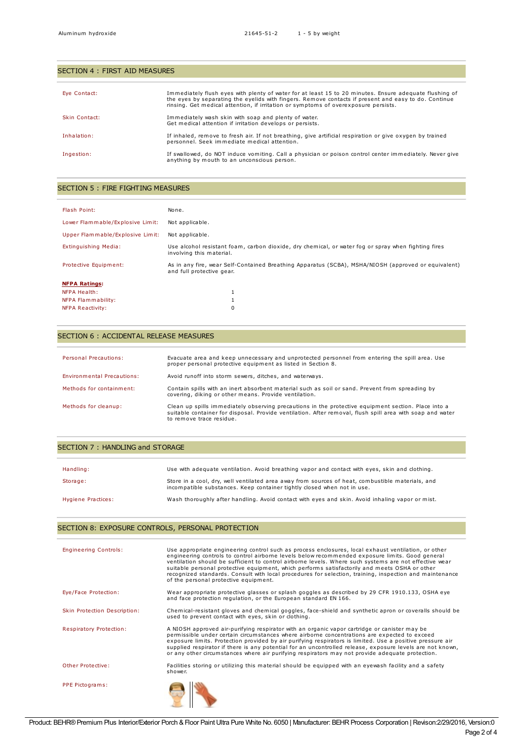| SECTION 4 : FIRST AID MEASURES |                                                                                                                                                                                                                                                                                                       |
|--------------------------------|-------------------------------------------------------------------------------------------------------------------------------------------------------------------------------------------------------------------------------------------------------------------------------------------------------|
| Eye Contact:                   | Immediately flush eyes with plenty of water for at least 15 to 20 minutes. Ensure adequate flushing of<br>the eves by separating the evelids with fingers. Remove contacts if present and easy to do. Continue<br>rinsing. Get medical attention, if irritation or symptoms of overexposure persists. |
| Skin Contact:                  | Immediately wash skin with soap and plenty of water.<br>Get medical attention if irritation develops or persists.                                                                                                                                                                                     |
| Inhalation:                    | If inhaled, remove to fresh air. If not breathing, give artificial respiration or give oxygen by trained<br>personnel. Seek immediate medical attention.                                                                                                                                              |
| Ingestion:                     | If swallowed, do NOT induce vomiting. Call a physician or poison control center immediately. Never give<br>anything by mouth to an unconscious person.                                                                                                                                                |

#### SECTION 5 : FIRE FIGHTING MEASURES

| Flash Point:                     | None.                                                                                                                            |
|----------------------------------|----------------------------------------------------------------------------------------------------------------------------------|
| Lower Flammable/Explosive Limit: | Not applicable.                                                                                                                  |
| Upper Flammable/Explosive Limit: | Not applicable.                                                                                                                  |
| Extinguishing Media:             | Use alcohol resistant foam, carbon dioxide, dry chemical, or water fog or spray when fighting fires<br>involving this material.  |
| Protective Equipment:            | As in any fire, wear Self-Contained Breathing Apparatus (SCBA), MSHA/NIOSH (approved or equivalent)<br>and full protective gear. |
| <b>NFPA Ratings:</b>             |                                                                                                                                  |
| NFPA Health:                     |                                                                                                                                  |
| NFPA Flammability:               |                                                                                                                                  |
| <b>NFPA Reactivity:</b>          | 0                                                                                                                                |

## SECTION 6 : ACCIDENTAL RELEASE MEASURES

| Personal Precautions:      | Evacuate area and keep unnecessary and unprotected personnel from entering the spill area. Use<br>proper personal protective equipment as listed in Section 8.                                                                               |
|----------------------------|----------------------------------------------------------------------------------------------------------------------------------------------------------------------------------------------------------------------------------------------|
| Environmental Precautions: | Avoid runoff into storm sewers, ditches, and waterways.                                                                                                                                                                                      |
| Methods for containment:   | Contain spills with an inert absorbent material such as soil or sand. Prevent from spreading by<br>covering, diking or other means. Provide ventilation.                                                                                     |
| Methods for cleanup:       | Clean up spills immediately observing precautions in the protective equipment section. Place into a<br>suitable container for disposal. Provide ventilation. After removal, flush spill area with soap and water<br>to remove trace residue. |

#### SECTION 7 : HANDLING and STORAGE

| Handling:          | Use with adequate ventilation. Avoid breathing vapor and contact with eyes, skin and clothing.                                                                              |
|--------------------|-----------------------------------------------------------------------------------------------------------------------------------------------------------------------------|
| Storage:           | Store in a cool, dry, well ventilated area away from sources of heat, combustible materials, and<br>incompatible substances. Keep container tightly closed when not in use. |
| Hygiene Practices: | Wash thoroughly after handling. Avoid contact with eyes and skin. Avoid inhaling vapor or mist.                                                                             |

# SECTION 8: EXPOSURE CONTROLS, PERSONAL PROTECTION

| <b>Engineering Controls:</b> | Use appropriate engineering control such as process enclosures, local exhaust ventilation, or other<br>engineering controls to control airborne levels below recommended exposure limits. Good general<br>ventilation should be sufficient to control airborne levels. Where such systems are not effective wear<br>suitable personal protective equipment, which performs satisfactorily and meets OSHA or other<br>recognized standards. Consult with local procedures for selection, training, inspection and maintenance<br>of the personal protective equipment. |  |
|------------------------------|-----------------------------------------------------------------------------------------------------------------------------------------------------------------------------------------------------------------------------------------------------------------------------------------------------------------------------------------------------------------------------------------------------------------------------------------------------------------------------------------------------------------------------------------------------------------------|--|
| Eye/Face Protection:         | Wear appropriate protective glasses or splash goggles as described by 29 CFR 1910.133, OSHA eye<br>and face protection requlation, or the European standard EN 166.                                                                                                                                                                                                                                                                                                                                                                                                   |  |
| Skin Protection Description: | Chemical-resistant gloves and chemical goggles, face-shield and synthetic apron or coveralls should be<br>used to prevent contact with eyes, skin or clothing.                                                                                                                                                                                                                                                                                                                                                                                                        |  |
| Respiratory Protection:      | A NIOSH approved air-purifying respirator with an organic vapor cartridge or canister may be<br>permissible under certain circumstances where airborne concentrations are expected to exceed<br>exposure limits. Protection provided by air purifying respirators is limited. Use a positive pressure air<br>supplied respirator if there is any potential for an uncontrolled release, exposure levels are not known,<br>or any other circumstances where air purifying respirators may not provide adequate protection.                                             |  |
| Other Protective:            | Facilities storing or utilizing this material should be equipped with an eyewash facility and a safety<br>shower.                                                                                                                                                                                                                                                                                                                                                                                                                                                     |  |
| PPE Pictograms:              |                                                                                                                                                                                                                                                                                                                                                                                                                                                                                                                                                                       |  |

Product: BEHR® Premium Plus Interior/Exterior Porch & Floor Paint Ultra Pure White No. 6050 | Manufacturer: BEHR Process Corporation | Revison:2/29/2016, Version:0 Page 2 of 4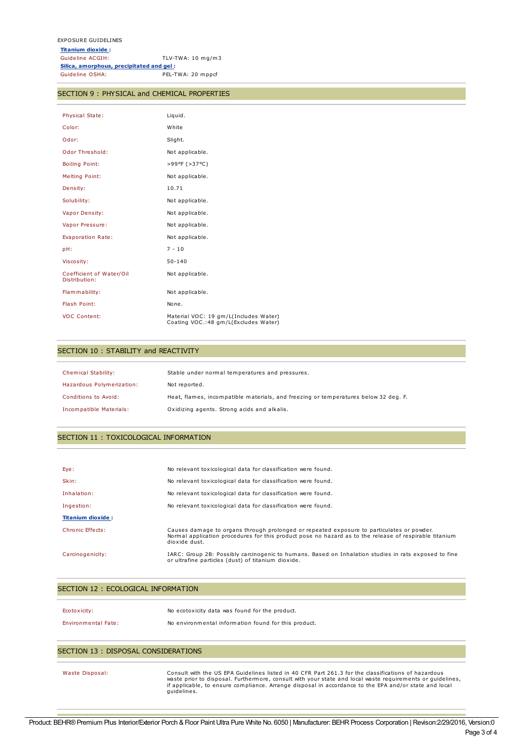### SECTION 9 : PHYSICAL and CHEMICAL PROPERTIES

| Physical State:                           | Liquid.                                                                        |
|-------------------------------------------|--------------------------------------------------------------------------------|
| Color:                                    | White                                                                          |
| Odor:                                     | Slight.                                                                        |
| Odor Threshold:                           | Not applicable.                                                                |
| <b>Boiling Point:</b>                     | >99ºF (>37°C)                                                                  |
| <b>Melting Point:</b>                     | Not applicable.                                                                |
| Density:                                  | 10.71                                                                          |
| Solubility:                               | Not applicable.                                                                |
| Vapor Density:                            | Not applicable.                                                                |
| Vapor Pressure:                           | Not applicable.                                                                |
| Evaporation Rate:                         | Not applicable.                                                                |
| pH:                                       | $7 - 10$                                                                       |
| Viscosity:                                | $50 - 140$                                                                     |
| Coefficient of Water/Oil<br>Distribution: | Not applicable.                                                                |
| Flammability:                             | Not applicable.                                                                |
| Flash Point:                              | None.                                                                          |
| <b>VOC Content:</b>                       | Material VOC: 19 gm/L(Includes Water)<br>Coating VOC.: 48 gm/L(Excludes Water) |

#### SECTION 10 : STABILITY and REACTIVITY

| Chemical Stability:       | Stable under normal temperatures and pressures.                                     |
|---------------------------|-------------------------------------------------------------------------------------|
| Hazardous Polymerization: | Not reported.                                                                       |
| Conditions to Avoid:      | Heat, flames, incompatible materials, and freezing or temperatures below 32 deg. F. |
| Incompatible Materials:   | Oxidizing agents. Strong acids and alkalis.                                         |

#### SECTION 11 : TOXICOLOGICAL INFORMATION

| Eye:                     | No relevant toxicological data for classification were found.                                                                                                                                                        |
|--------------------------|----------------------------------------------------------------------------------------------------------------------------------------------------------------------------------------------------------------------|
| Skin:                    | No relevant toxicological data for classification were found.                                                                                                                                                        |
| Inhalation:              | No relevant toxicological data for classification were found.                                                                                                                                                        |
| Ingestion:               | No relevant toxicological data for classification were found.                                                                                                                                                        |
| <b>Titanium dioxide:</b> |                                                                                                                                                                                                                      |
| Chronic Effects:         | Causes damage to organs through prolonged or repeated exposure to particulates or powder.<br>Normal application procedures for this product pose no hazard as to the release of respirable titanium<br>dioxide dust. |
| Carcinogenicity:         | IARC: Group 2B: Possibly carcinogenic to humans. Based on Inhalation studies in rats exposed to fine<br>or ultrafine particles (dust) of titanium dioxide.                                                           |

#### SECTION 12 : ECOLOGICAL INFORMATION

| Ecotoxicity:               | No ecotoxicity data was found for the product.       |
|----------------------------|------------------------------------------------------|
| <b>Environmental Fate:</b> | No environmental information found for this product. |

### SECTION 13 : DISPOSAL CONSIDERATIONS

Waste Disposal: Consult with the US EPA Guidelines listed in 40 CFR Part 261.3 for the classifications of hazardous waste prior to disposal. Furthermore, consult with your state and local waste requirements or guidelines, if applicable, to ensure compliance. Arrange disposal in accordance to the EPA and/or state and local guidelines.